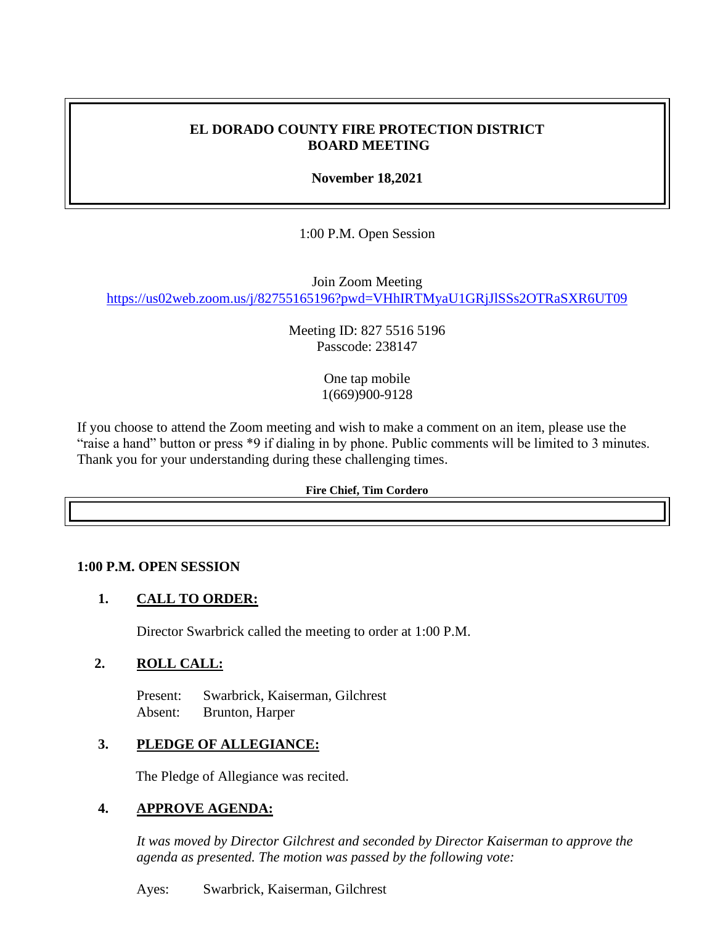### **EL DORADO COUNTY FIRE PROTECTION DISTRICT BOARD MEETING**

**November 18,2021**

1:00 P.M. Open Session

Join Zoom Meeting <https://us02web.zoom.us/j/82755165196?pwd=VHhIRTMyaU1GRjJlSSs2OTRaSXR6UT09>

> Meeting ID: 827 5516 5196 Passcode: 238147

> > One tap mobile 1(669)900-9128

If you choose to attend the Zoom meeting and wish to make a comment on an item, please use the "raise a hand" button or press \*9 if dialing in by phone. Public comments will be limited to 3 minutes. Thank you for your understanding during these challenging times.

#### **Fire Chief, Tim Cordero**

### **1:00 P.M. OPEN SESSION**

### **1. CALL TO ORDER:**

Director Swarbrick called the meeting to order at 1:00 P.M.

### **2. ROLL CALL:**

Present: Swarbrick, Kaiserman, Gilchrest Absent: Brunton, Harper

### **3. PLEDGE OF ALLEGIANCE:**

The Pledge of Allegiance was recited.

### **4. APPROVE AGENDA:**

*It was moved by Director Gilchrest and seconded by Director Kaiserman to approve the agenda as presented. The motion was passed by the following vote:*

Ayes: Swarbrick, Kaiserman, Gilchrest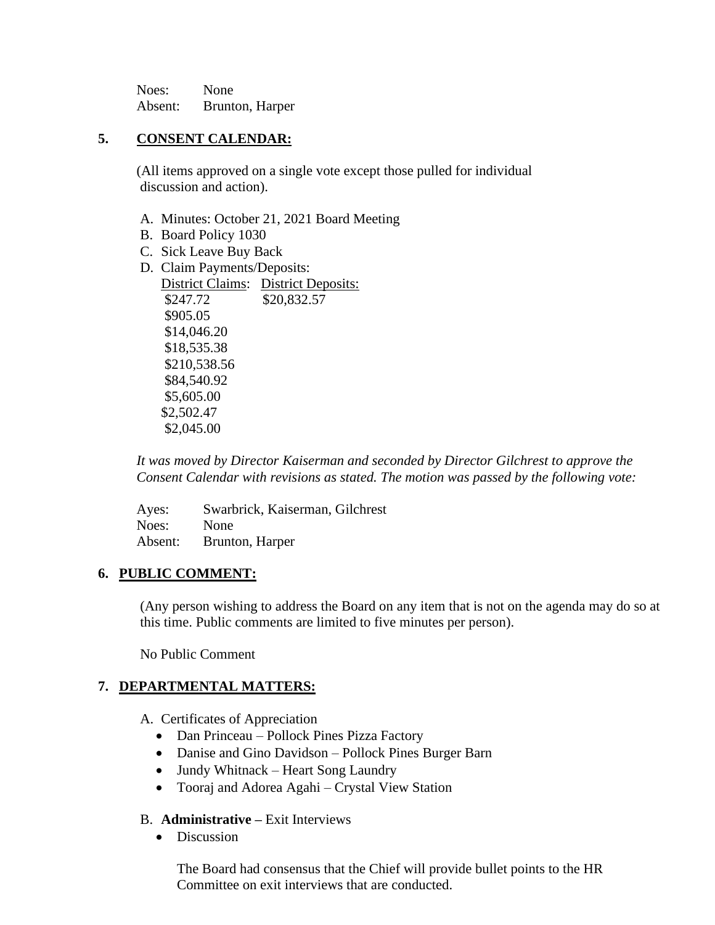Noes: None Absent: Brunton, Harper

## **5. CONSENT CALENDAR:**

 (All items approved on a single vote except those pulled for individual discussion and action).

- A. Minutes: October 21, 2021 Board Meeting
- B. Board Policy 1030
- C. Sick Leave Buy Back
- D. Claim Payments/Deposits:

District Claims: District Deposits: \$247.72 \$20,832.57 \$905.05 \$14,046.20 \$18,535.38 \$210,538.56 \$84,540.92 \$5,605.00 \$2,502.47 \$2,045.00

*It was moved by Director Kaiserman and seconded by Director Gilchrest to approve the Consent Calendar with revisions as stated. The motion was passed by the following vote:*

Ayes: Swarbrick, Kaiserman, Gilchrest Noes: None Absent: Brunton, Harper

### **6. PUBLIC COMMENT:**

(Any person wishing to address the Board on any item that is not on the agenda may do so at this time. Public comments are limited to five minutes per person).

No Public Comment

### **7. DEPARTMENTAL MATTERS:**

A. Certificates of Appreciation

- Dan Princeau Pollock Pines Pizza Factory
- Danise and Gino Davidson Pollock Pines Burger Barn
- Jundy Whitnack Heart Song Laundry
- Tooraj and Adorea Agahi Crystal View Station

### B. **Administrative –** Exit Interviews

• Discussion

The Board had consensus that the Chief will provide bullet points to the HR Committee on exit interviews that are conducted.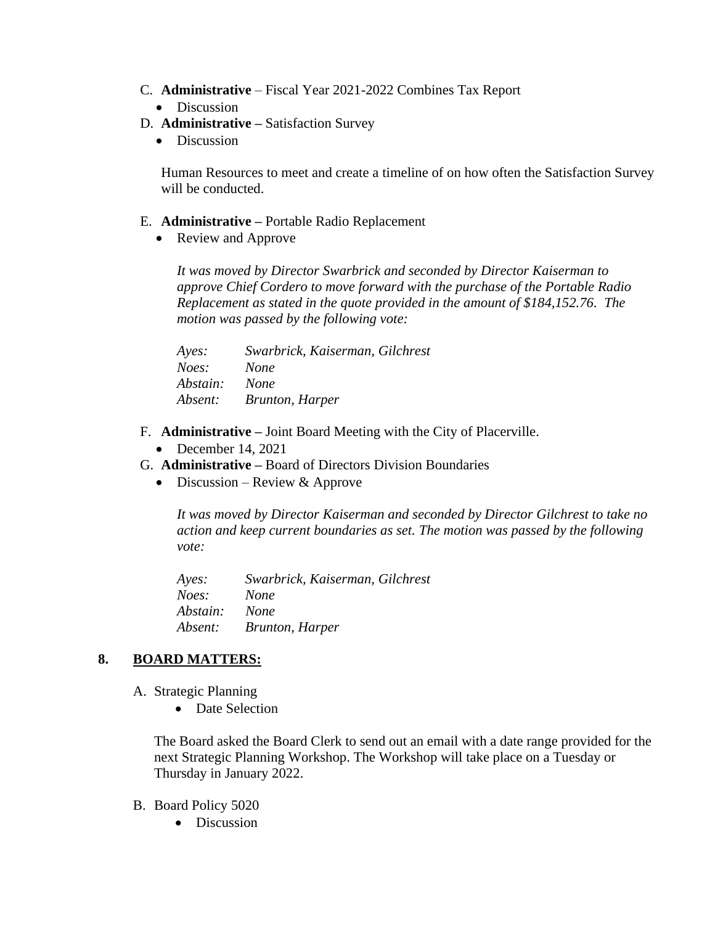- C. **Administrative** Fiscal Year 2021-2022 Combines Tax Report
	- Discussion
- D. **Administrative –** Satisfaction Survey
	- Discussion

Human Resources to meet and create a timeline of on how often the Satisfaction Survey will be conducted.

- E. **Administrative –** Portable Radio Replacement
	- Review and Approve

*It was moved by Director Swarbrick and seconded by Director Kaiserman to approve Chief Cordero to move forward with the purchase of the Portable Radio Replacement as stated in the quote provided in the amount of \$184,152.76. The motion was passed by the following vote:*

| Ayes:    | Swarbrick, Kaiserman, Gilchrest |
|----------|---------------------------------|
| Noes:    | <b>None</b>                     |
| Abstain: | <b>None</b>                     |
| Absent:  | Brunton, Harper                 |

- F. **Administrative –** Joint Board Meeting with the City of Placerville.
	- December 14, 2021
- G. **Administrative –** Board of Directors Division Boundaries
	- Discussion Review & Approve

*It was moved by Director Kaiserman and seconded by Director Gilchrest to take no action and keep current boundaries as set. The motion was passed by the following vote:*

*Ayes: Swarbrick, Kaiserman, Gilchrest Noes: None Abstain: None Absent: Brunton, Harper*

### **8. BOARD MATTERS:**

- A. Strategic Planning
	- Date Selection

The Board asked the Board Clerk to send out an email with a date range provided for the next Strategic Planning Workshop. The Workshop will take place on a Tuesday or Thursday in January 2022.

- B. Board Policy 5020
	- Discussion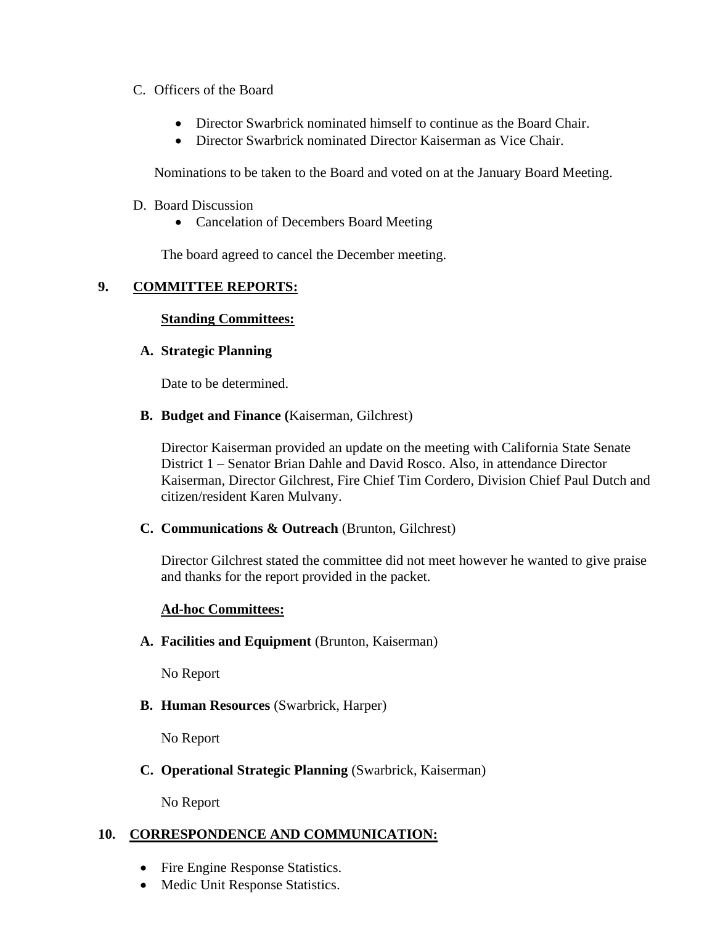### C. Officers of the Board

- Director Swarbrick nominated himself to continue as the Board Chair.
- Director Swarbrick nominated Director Kaiserman as Vice Chair.

Nominations to be taken to the Board and voted on at the January Board Meeting.

- D. Board Discussion
	- Cancelation of Decembers Board Meeting

The board agreed to cancel the December meeting.

### **9. COMMITTEE REPORTS:**

### **Standing Committees:**

### **A. Strategic Planning**

Date to be determined.

**B. Budget and Finance (**Kaiserman, Gilchrest)

Director Kaiserman provided an update on the meeting with California State Senate District 1 – Senator Brian Dahle and David Rosco. Also, in attendance Director Kaiserman, Director Gilchrest, Fire Chief Tim Cordero, Division Chief Paul Dutch and citizen/resident Karen Mulvany.

### **C. Communications & Outreach** (Brunton, Gilchrest)

Director Gilchrest stated the committee did not meet however he wanted to give praise and thanks for the report provided in the packet.

### **Ad-hoc Committees:**

### **A. Facilities and Equipment** (Brunton, Kaiserman)

No Report

### **B. Human Resources** (Swarbrick, Harper)

No Report

### **C. Operational Strategic Planning** (Swarbrick, Kaiserman)

No Report

### **10. CORRESPONDENCE AND COMMUNICATION:**

- Fire Engine Response Statistics.
- Medic Unit Response Statistics.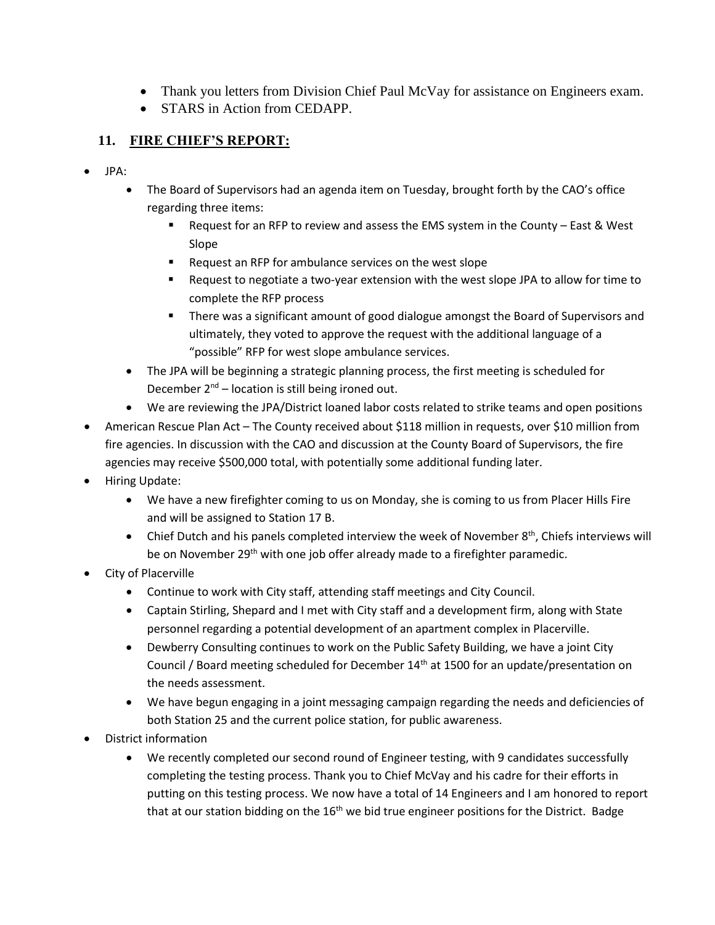- Thank you letters from Division Chief Paul McVay for assistance on Engineers exam.
- STARS in Action from CEDAPP.

# **11. FIRE CHIEF'S REPORT:**

- JPA:
	- The Board of Supervisors had an agenda item on Tuesday, brought forth by the CAO's office regarding three items:
		- Request for an RFP to review and assess the EMS system in the County East & West Slope
		- Request an RFP for ambulance services on the west slope
		- Request to negotiate a two-year extension with the west slope JPA to allow for time to complete the RFP process
		- There was a significant amount of good dialogue amongst the Board of Supervisors and ultimately, they voted to approve the request with the additional language of a "possible" RFP for west slope ambulance services.
	- The JPA will be beginning a strategic planning process, the first meeting is scheduled for December 2<sup>nd</sup> - location is still being ironed out.
	- We are reviewing the JPA/District loaned labor costs related to strike teams and open positions
- American Rescue Plan Act The County received about \$118 million in requests, over \$10 million from fire agencies. In discussion with the CAO and discussion at the County Board of Supervisors, the fire agencies may receive \$500,000 total, with potentially some additional funding later.
- Hiring Update:
	- We have a new firefighter coming to us on Monday, she is coming to us from Placer Hills Fire and will be assigned to Station 17 B.
	- Chief Dutch and his panels completed interview the week of November  $8<sup>th</sup>$ , Chiefs interviews will be on November 29<sup>th</sup> with one job offer already made to a firefighter paramedic.
- City of Placerville
	- Continue to work with City staff, attending staff meetings and City Council.
	- Captain Stirling, Shepard and I met with City staff and a development firm, along with State personnel regarding a potential development of an apartment complex in Placerville.
	- Dewberry Consulting continues to work on the Public Safety Building, we have a joint City Council / Board meeting scheduled for December 14<sup>th</sup> at 1500 for an update/presentation on the needs assessment.
	- We have begun engaging in a joint messaging campaign regarding the needs and deficiencies of both Station 25 and the current police station, for public awareness.
- District information
	- We recently completed our second round of Engineer testing, with 9 candidates successfully completing the testing process. Thank you to Chief McVay and his cadre for their efforts in putting on this testing process. We now have a total of 14 Engineers and I am honored to report that at our station bidding on the  $16<sup>th</sup>$  we bid true engineer positions for the District. Badge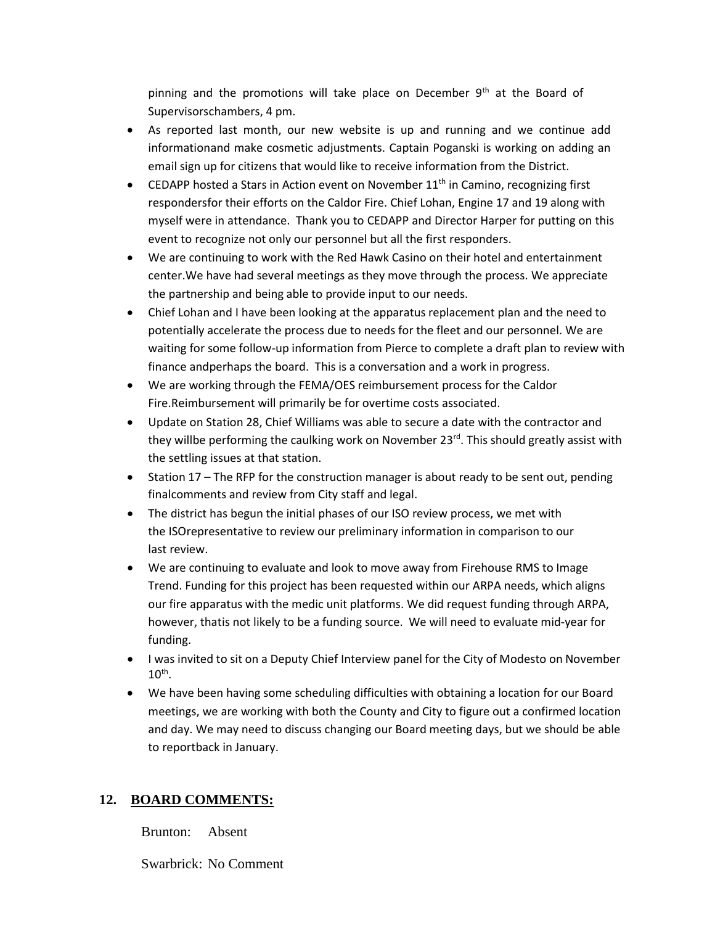pinning and the promotions will take place on December  $9<sup>th</sup>$  at the Board of Supervisorschambers, 4 pm.

- As reported last month, our new website is up and running and we continue add informationand make cosmetic adjustments. Captain Poganski is working on adding an email sign up for citizens that would like to receive information from the District.
- CEDAPP hosted a Stars in Action event on November 11<sup>th</sup> in Camino, recognizing first respondersfor their efforts on the Caldor Fire. Chief Lohan, Engine 17 and 19 along with myself were in attendance. Thank you to CEDAPP and Director Harper for putting on this event to recognize not only our personnel but all the first responders.
- We are continuing to work with the Red Hawk Casino on their hotel and entertainment center.We have had several meetings as they move through the process. We appreciate the partnership and being able to provide input to our needs.
- Chief Lohan and I have been looking at the apparatus replacement plan and the need to potentially accelerate the process due to needs for the fleet and our personnel. We are waiting for some follow-up information from Pierce to complete a draft plan to review with finance andperhaps the board. This is a conversation and a work in progress.
- We are working through the FEMA/OES reimbursement process for the Caldor Fire.Reimbursement will primarily be for overtime costs associated.
- Update on Station 28, Chief Williams was able to secure a date with the contractor and they willbe performing the caulking work on November 23<sup>rd</sup>. This should greatly assist with the settling issues at that station.
- Station 17 The RFP for the construction manager is about ready to be sent out, pending finalcomments and review from City staff and legal.
- The district has begun the initial phases of our ISO review process, we met with the ISOrepresentative to review our preliminary information in comparison to our last review.
- We are continuing to evaluate and look to move away from Firehouse RMS to Image Trend. Funding for this project has been requested within our ARPA needs, which aligns our fire apparatus with the medic unit platforms. We did request funding through ARPA, however, thatis not likely to be a funding source. We will need to evaluate mid-year for funding.
- I was invited to sit on a Deputy Chief Interview panel for the City of Modesto on November  $10^{\text{th}}$ .
- We have been having some scheduling difficulties with obtaining a location for our Board meetings, we are working with both the County and City to figure out a confirmed location and day. We may need to discuss changing our Board meeting days, but we should be able to reportback in January.

### **12. BOARD COMMENTS:**

Brunton: Absent

Swarbrick: No Comment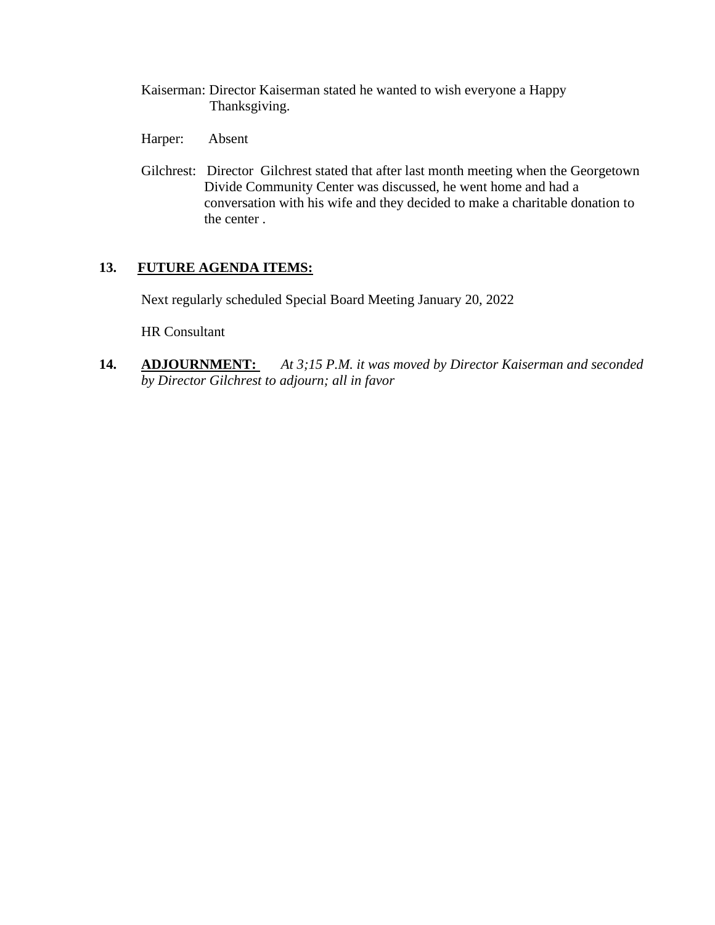- Kaiserman: Director Kaiserman stated he wanted to wish everyone a Happy Thanksgiving.
- Harper: Absent
- Gilchrest: Director Gilchrest stated that after last month meeting when the Georgetown Divide Community Center was discussed, he went home and had a conversation with his wife and they decided to make a charitable donation to the center .

## **13. FUTURE AGENDA ITEMS:**

Next regularly scheduled Special Board Meeting January 20, 2022

HR Consultant

**14. ADJOURNMENT:** *At 3;15 P.M. it was moved by Director Kaiserman and seconded by Director Gilchrest to adjourn; all in favor*